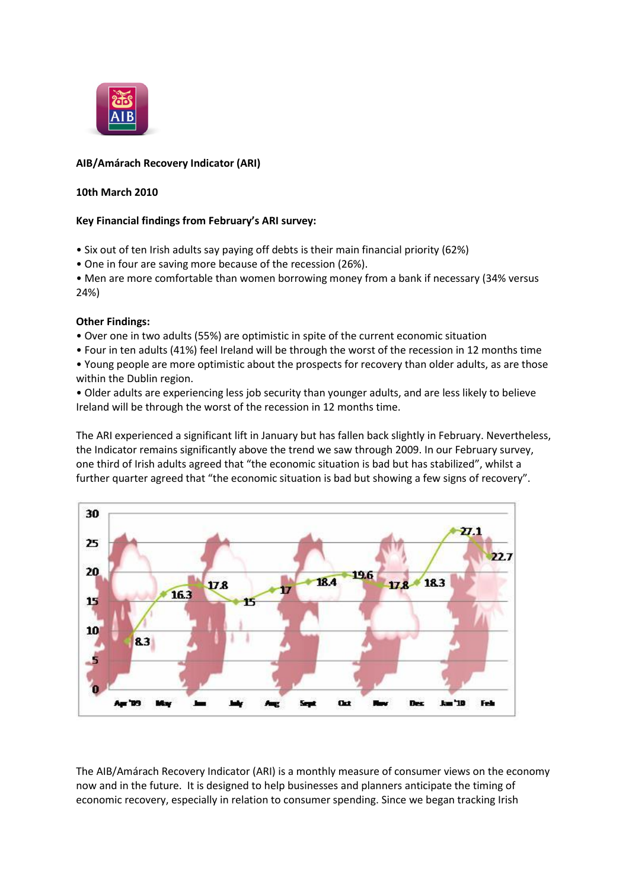

# **AIB/Amárach Recovery Indicator (ARI)**

## **10th March 2010**

## **Key Financial findings from February's ARI survey:**

- Six out of ten Irish adults say paying off debts is their main financial priority (62%)
- One in four are saving more because of the recession (26%).
- Men are more comfortable than women borrowing money from a bank if necessary (34% versus 24%)

## **Other Findings:**

- Over one in two adults (55%) are optimistic in spite of the current economic situation
- Four in ten adults (41%) feel Ireland will be through the worst of the recession in 12 months time
- Young people are more optimistic about the prospects for recovery than older adults, as are those within the Dublin region.

• Older adults are experiencing less job security than younger adults, and are less likely to believe Ireland will be through the worst of the recession in 12 months time.

The ARI experienced a significant lift in January but has fallen back slightly in February. Nevertheless, the Indicator remains significantly above the trend we saw through 2009. In our February survey, one third of Irish adults agreed that "the economic situation is bad but has stabilized", whilst a further quarter agreed that "the economic situation is bad but showing a few signs of recovery".



The AIB/Amárach Recovery Indicator (ARI) is a monthly measure of consumer views on the economy now and in the future. It is designed to help businesses and planners anticipate the timing of economic recovery, especially in relation to consumer spending. Since we began tracking Irish